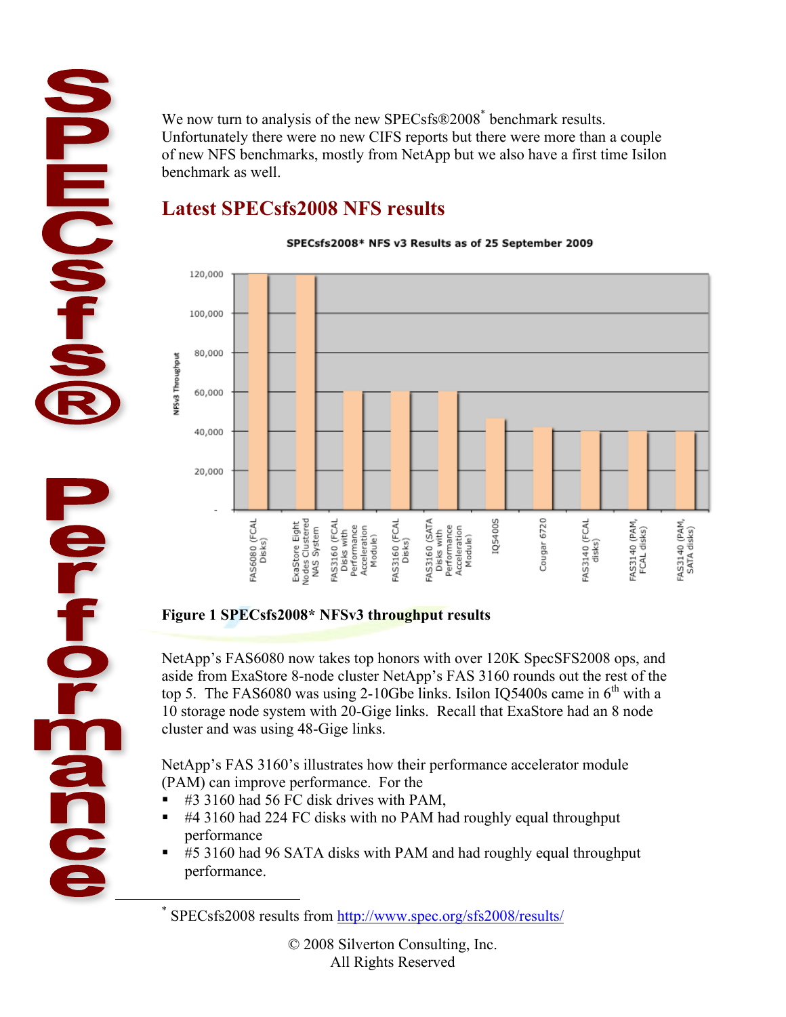We now turn to analysis of the new SPECsfs®2008<sup>\*</sup> benchmark results. Unfortunately there were no new CIFS reports but there were more than a couple of new NFS benchmarks, mostly from NetApp but we also have a first time Isilon benchmark as well.

## **Latest SPECsfs2008 NFS results**

**HECAP** 

**Control** 

**OPEO** 

SPECsfs2008\* NFS v3 Results as of 25 September 2009



### **Figure 1 SPECsfs2008\* NFSv3 throughput results**

NetApp's FAS6080 now takes top honors with over 120K SpecSFS2008 ops, and aside from ExaStore 8-node cluster NetApp's FAS 3160 rounds out the rest of the top 5. The FAS6080 was using 2-10Gbe links. Isilon IO5400s came in  $6<sup>th</sup>$  with a 10 storage node system with 20-Gige links. Recall that ExaStore had an 8 node cluster and was using 48-Gige links.

NetApp's FAS 3160's illustrates how their performance accelerator module (PAM) can improve performance. For the

- #3 3160 had 56 FC disk drives with PAM,
- #4 3160 had 224 FC disks with no PAM had roughly equal throughput performance
- #5 3160 had 96 SATA disks with PAM and had roughly equal throughput performance.

 <sup>\*</sup> SPECsfs2008 results from http://www.spec.org/sfs2008/results/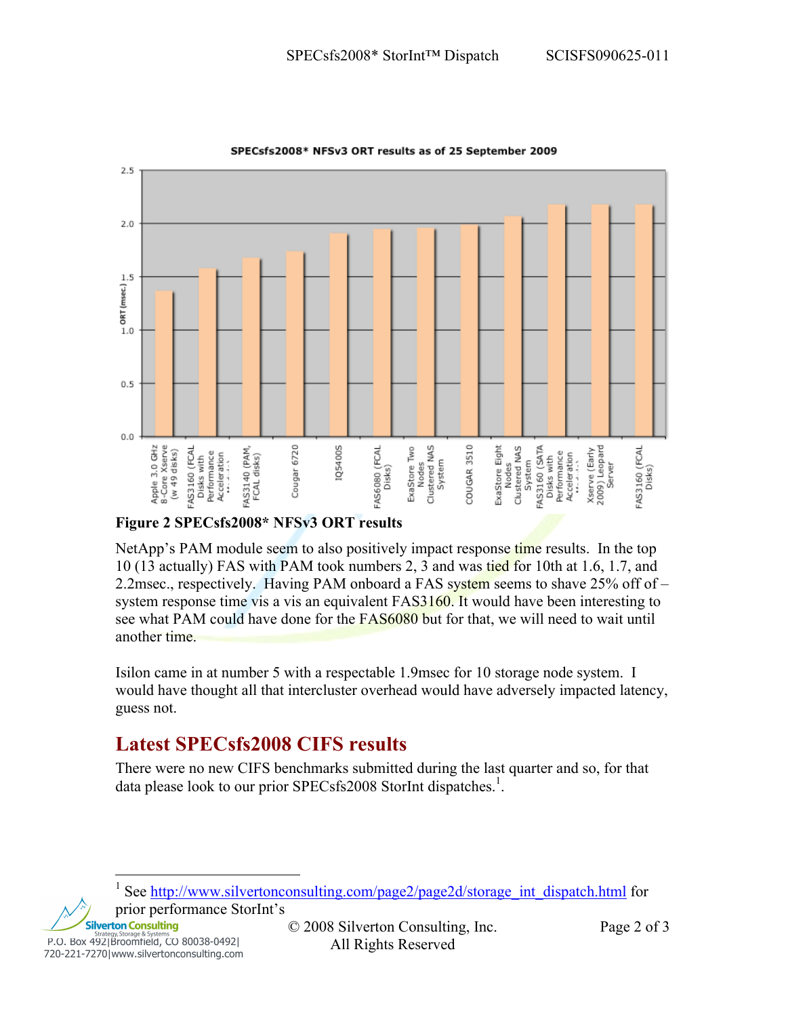

SPECsfs2008\* NFSv3 ORT results as of 25 September 2009

#### **Figure 2 SPECsfs2008\* NFSv3 ORT results**

NetApp's PAM module seem to also positively impact response time results. In the top 10 (13 actually) FAS with PAM took numbers 2, 3 and was tied for 10th at 1.6, 1.7, and 2.2msec., respectively. Having PAM onboard a FAS system seems to shave 25% off of – system response time vis a vis an equivalent FAS3160. It would have been interesting to see what PAM could have done for the FAS6080 but for that, we will need to wait until another time.

Isilon came in at number 5 with a respectable 1.9msec for 10 storage node system. I would have thought all that intercluster overhead would have adversely impacted latency, guess not.

## **Latest SPECsfs2008 CIFS results**

There were no new CIFS benchmarks submitted during the last quarter and so, for that data please look to our prior SPECsfs2008 StorInt dispatches.<sup>1</sup>.

**Silverton Consulting** P.O. Box 492|Broomfield, CO 80038-0492|<br>
720-221-7270|www.silvertonconsulting.com All Rights Reserved

 $\frac{1}{1}$ See http://www.silvertonconsulting.com/page2/page2d/storage\_int\_dispatch.html for prior performance StorInt's